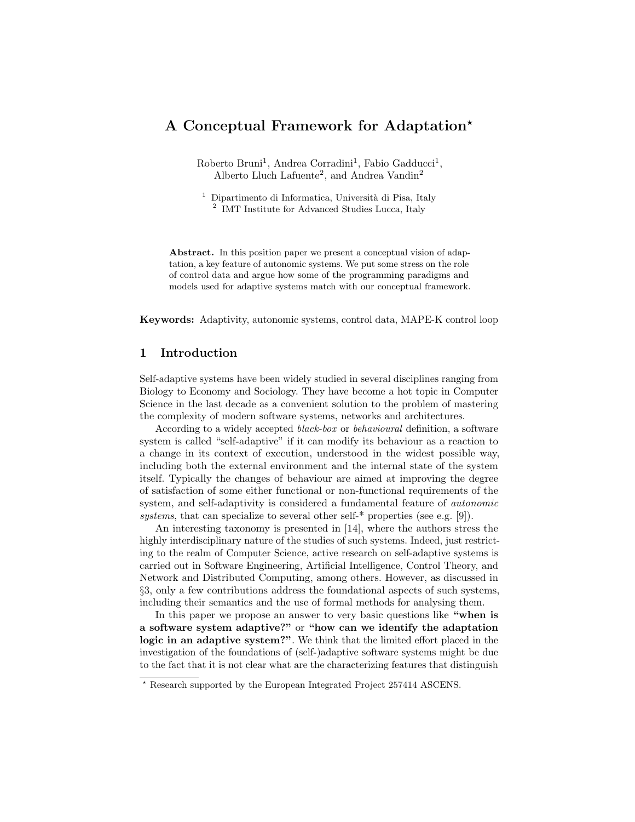# A Conceptual Framework for Adaptation<sup>\*</sup>

Roberto Bruni<sup>1</sup>, Andrea Corradini<sup>1</sup>, Fabio Gadducci<sup>1</sup>, Alberto Lluch Lafuente<sup>2</sup>, and Andrea Vandin<sup>2</sup>

<sup>1</sup> Dipartimento di Informatica, Università di Pisa, Italy <sup>2</sup> IMT Institute for Advanced Studies Lucca, Italy

Abstract. In this position paper we present a conceptual vision of adaptation, a key feature of autonomic systems. We put some stress on the role of control data and argue how some of the programming paradigms and models used for adaptive systems match with our conceptual framework.

Keywords: Adaptivity, autonomic systems, control data, MAPE-K control loop

### 1 Introduction

Self-adaptive systems have been widely studied in several disciplines ranging from Biology to Economy and Sociology. They have become a hot topic in Computer Science in the last decade as a convenient solution to the problem of mastering the complexity of modern software systems, networks and architectures.

According to a widely accepted black-box or behavioural definition, a software system is called "self-adaptive" if it can modify its behaviour as a reaction to a change in its context of execution, understood in the widest possible way, including both the external environment and the internal state of the system itself. Typically the changes of behaviour are aimed at improving the degree of satisfaction of some either functional or non-functional requirements of the system, and self-adaptivity is considered a fundamental feature of autonomic systems, that can specialize to several other self- $*$  properties (see e.g. [9]).

An interesting taxonomy is presented in [14], where the authors stress the highly interdisciplinary nature of the studies of such systems. Indeed, just restricting to the realm of Computer Science, active research on self-adaptive systems is carried out in Software Engineering, Artificial Intelligence, Control Theory, and Network and Distributed Computing, among others. However, as discussed in §3, only a few contributions address the foundational aspects of such systems, including their semantics and the use of formal methods for analysing them.

In this paper we propose an answer to very basic questions like "when is a software system adaptive?" or "how can we identify the adaptation logic in an adaptive system?". We think that the limited effort placed in the investigation of the foundations of (self-)adaptive software systems might be due to the fact that it is not clear what are the characterizing features that distinguish

<sup>?</sup> Research supported by the European Integrated Project 257414 ASCENS.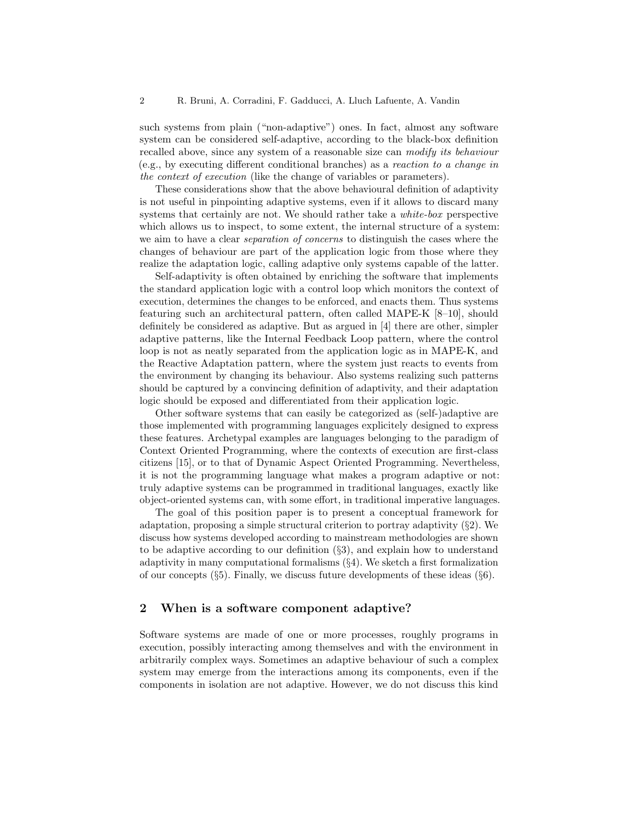such systems from plain ("non-adaptive") ones. In fact, almost any software system can be considered self-adaptive, according to the black-box definition recalled above, since any system of a reasonable size can modify its behaviour (e.g., by executing different conditional branches) as a reaction to a change in the context of execution (like the change of variables or parameters).

These considerations show that the above behavioural definition of adaptivity is not useful in pinpointing adaptive systems, even if it allows to discard many systems that certainly are not. We should rather take a white-box perspective which allows us to inspect, to some extent, the internal structure of a system: we aim to have a clear *separation of concerns* to distinguish the cases where the changes of behaviour are part of the application logic from those where they realize the adaptation logic, calling adaptive only systems capable of the latter.

Self-adaptivity is often obtained by enriching the software that implements the standard application logic with a control loop which monitors the context of execution, determines the changes to be enforced, and enacts them. Thus systems featuring such an architectural pattern, often called MAPE-K [8–10], should definitely be considered as adaptive. But as argued in [4] there are other, simpler adaptive patterns, like the Internal Feedback Loop pattern, where the control loop is not as neatly separated from the application logic as in MAPE-K, and the Reactive Adaptation pattern, where the system just reacts to events from the environment by changing its behaviour. Also systems realizing such patterns should be captured by a convincing definition of adaptivity, and their adaptation logic should be exposed and differentiated from their application logic.

Other software systems that can easily be categorized as (self-)adaptive are those implemented with programming languages explicitely designed to express these features. Archetypal examples are languages belonging to the paradigm of Context Oriented Programming, where the contexts of execution are first-class citizens [15], or to that of Dynamic Aspect Oriented Programming. Nevertheless, it is not the programming language what makes a program adaptive or not: truly adaptive systems can be programmed in traditional languages, exactly like object-oriented systems can, with some effort, in traditional imperative languages.

The goal of this position paper is to present a conceptual framework for adaptation, proposing a simple structural criterion to portray adaptivity (§2). We discuss how systems developed according to mainstream methodologies are shown to be adaptive according to our definition  $(\S3)$ , and explain how to understand adaptivity in many computational formalisms (§4). We sketch a first formalization of our concepts  $(\S 5)$ . Finally, we discuss future developments of these ideas  $(\S 6)$ .

### 2 When is a software component adaptive?

Software systems are made of one or more processes, roughly programs in execution, possibly interacting among themselves and with the environment in arbitrarily complex ways. Sometimes an adaptive behaviour of such a complex system may emerge from the interactions among its components, even if the components in isolation are not adaptive. However, we do not discuss this kind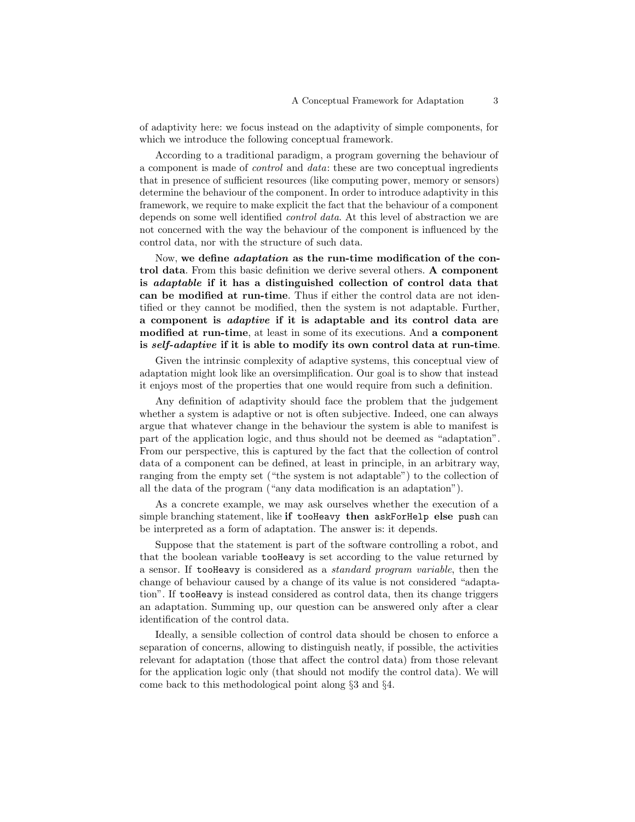of adaptivity here: we focus instead on the adaptivity of simple components, for which we introduce the following conceptual framework.

According to a traditional paradigm, a program governing the behaviour of a component is made of control and data: these are two conceptual ingredients that in presence of sufficient resources (like computing power, memory or sensors) determine the behaviour of the component. In order to introduce adaptivity in this framework, we require to make explicit the fact that the behaviour of a component depends on some well identified control data. At this level of abstraction we are not concerned with the way the behaviour of the component is influenced by the control data, nor with the structure of such data.

Now, we define adaptation as the run-time modification of the control data. From this basic definition we derive several others. A component is adaptable if it has a distinguished collection of control data that can be modified at run-time. Thus if either the control data are not identified or they cannot be modified, then the system is not adaptable. Further, a component is adaptive if it is adaptable and its control data are modified at run-time, at least in some of its executions. And a component is self-adaptive if it is able to modify its own control data at run-time.

Given the intrinsic complexity of adaptive systems, this conceptual view of adaptation might look like an oversimplification. Our goal is to show that instead it enjoys most of the properties that one would require from such a definition.

Any definition of adaptivity should face the problem that the judgement whether a system is adaptive or not is often subjective. Indeed, one can always argue that whatever change in the behaviour the system is able to manifest is part of the application logic, and thus should not be deemed as "adaptation". From our perspective, this is captured by the fact that the collection of control data of a component can be defined, at least in principle, in an arbitrary way, ranging from the empty set ("the system is not adaptable") to the collection of all the data of the program ("any data modification is an adaptation").

As a concrete example, we may ask ourselves whether the execution of a simple branching statement, like if tooHeavy then askForHelp else push can be interpreted as a form of adaptation. The answer is: it depends.

Suppose that the statement is part of the software controlling a robot, and that the boolean variable tooHeavy is set according to the value returned by a sensor. If tooHeavy is considered as a standard program variable, then the change of behaviour caused by a change of its value is not considered "adaptation". If tooHeavy is instead considered as control data, then its change triggers an adaptation. Summing up, our question can be answered only after a clear identification of the control data.

Ideally, a sensible collection of control data should be chosen to enforce a separation of concerns, allowing to distinguish neatly, if possible, the activities relevant for adaptation (those that affect the control data) from those relevant for the application logic only (that should not modify the control data). We will come back to this methodological point along §3 and §4.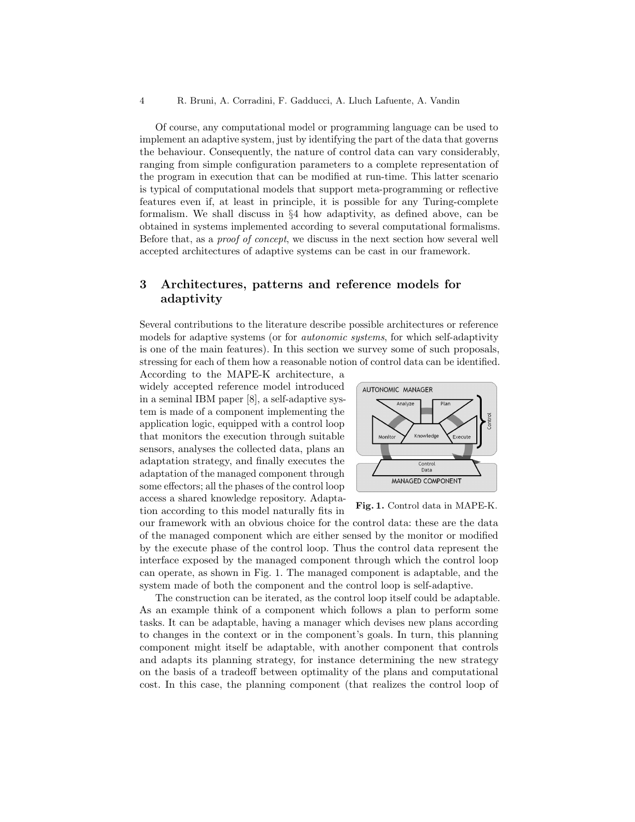Of course, any computational model or programming language can be used to implement an adaptive system, just by identifying the part of the data that governs the behaviour. Consequently, the nature of control data can vary considerably, ranging from simple configuration parameters to a complete representation of the program in execution that can be modified at run-time. This latter scenario is typical of computational models that support meta-programming or reflective features even if, at least in principle, it is possible for any Turing-complete formalism. We shall discuss in §4 how adaptivity, as defined above, can be obtained in systems implemented according to several computational formalisms. Before that, as a *proof of concept*, we discuss in the next section how several well accepted architectures of adaptive systems can be cast in our framework.

## 3 Architectures, patterns and reference models for adaptivity

Several contributions to the literature describe possible architectures or reference models for adaptive systems (or for autonomic systems, for which self-adaptivity is one of the main features). In this section we survey some of such proposals, stressing for each of them how a reasonable notion of control data can be identified.

According to the MAPE-K architecture, a widely accepted reference model introduced in a seminal IBM paper [8], a self-adaptive system is made of a component implementing the application logic, equipped with a control loop that monitors the execution through suitable sensors, analyses the collected data, plans an adaptation strategy, and finally executes the adaptation of the managed component through some effectors; all the phases of the control loop access a shared knowledge repository. Adaptation according to this model naturally fits in



Fig. 1. Control data in MAPE-K.

our framework with an obvious choice for the control data: these are the data of the managed component which are either sensed by the monitor or modified by the execute phase of the control loop. Thus the control data represent the interface exposed by the managed component through which the control loop can operate, as shown in Fig. 1. The managed component is adaptable, and the system made of both the component and the control loop is self-adaptive.

The construction can be iterated, as the control loop itself could be adaptable. As an example think of a component which follows a plan to perform some tasks. It can be adaptable, having a manager which devises new plans according to changes in the context or in the component's goals. In turn, this planning component might itself be adaptable, with another component that controls and adapts its planning strategy, for instance determining the new strategy on the basis of a tradeoff between optimality of the plans and computational cost. In this case, the planning component (that realizes the control loop of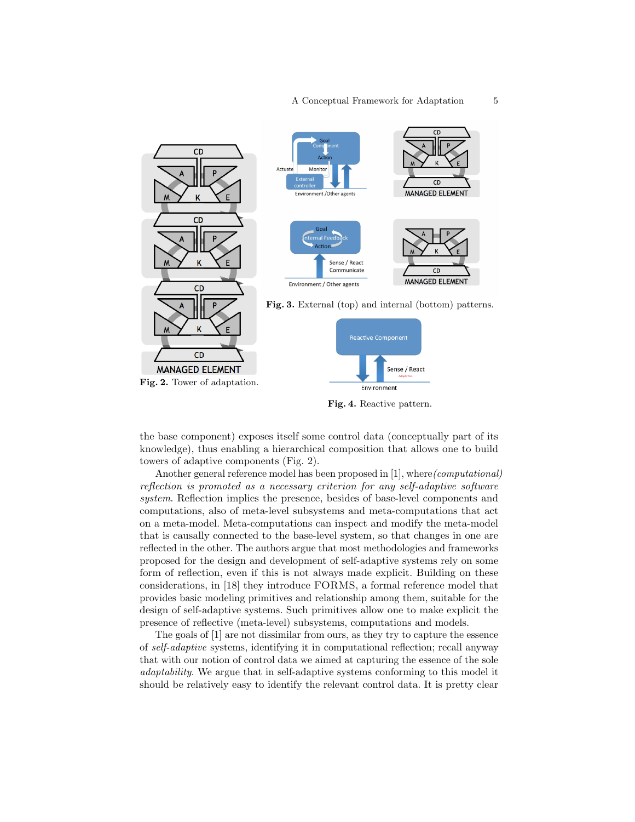

the base component) exposes itself some control data (conceptually part of its knowledge), thus enabling a hierarchical composition that allows one to build towers of adaptive components (Fig. 2).

Another general reference model has been proposed in [1], where (computational) reflection is promoted as a necessary criterion for any self-adaptive software system. Reflection implies the presence, besides of base-level components and computations, also of meta-level subsystems and meta-computations that act on a meta-model. Meta-computations can inspect and modify the meta-model that is causally connected to the base-level system, so that changes in one are reflected in the other. The authors argue that most methodologies and frameworks proposed for the design and development of self-adaptive systems rely on some form of reflection, even if this is not always made explicit. Building on these considerations, in [18] they introduce FORMS, a formal reference model that provides basic modeling primitives and relationship among them, suitable for the design of self-adaptive systems. Such primitives allow one to make explicit the presence of reflective (meta-level) subsystems, computations and models.

The goals of [1] are not dissimilar from ours, as they try to capture the essence of self-adaptive systems, identifying it in computational reflection; recall anyway that with our notion of control data we aimed at capturing the essence of the sole adaptability. We argue that in self-adaptive systems conforming to this model it should be relatively easy to identify the relevant control data. It is pretty clear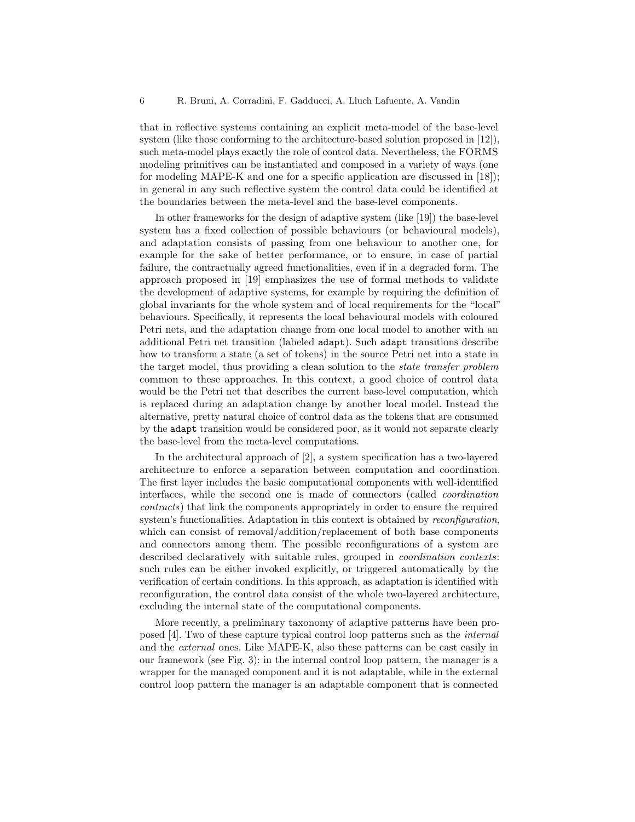that in reflective systems containing an explicit meta-model of the base-level system (like those conforming to the architecture-based solution proposed in [12]), such meta-model plays exactly the role of control data. Nevertheless, the FORMS modeling primitives can be instantiated and composed in a variety of ways (one for modeling MAPE-K and one for a specific application are discussed in [18]); in general in any such reflective system the control data could be identified at the boundaries between the meta-level and the base-level components.

In other frameworks for the design of adaptive system (like [19]) the base-level system has a fixed collection of possible behaviours (or behavioural models), and adaptation consists of passing from one behaviour to another one, for example for the sake of better performance, or to ensure, in case of partial failure, the contractually agreed functionalities, even if in a degraded form. The approach proposed in [19] emphasizes the use of formal methods to validate the development of adaptive systems, for example by requiring the definition of global invariants for the whole system and of local requirements for the "local" behaviours. Specifically, it represents the local behavioural models with coloured Petri nets, and the adaptation change from one local model to another with an additional Petri net transition (labeled adapt). Such adapt transitions describe how to transform a state (a set of tokens) in the source Petri net into a state in the target model, thus providing a clean solution to the state transfer problem common to these approaches. In this context, a good choice of control data would be the Petri net that describes the current base-level computation, which is replaced during an adaptation change by another local model. Instead the alternative, pretty natural choice of control data as the tokens that are consumed by the adapt transition would be considered poor, as it would not separate clearly the base-level from the meta-level computations.

In the architectural approach of [2], a system specification has a two-layered architecture to enforce a separation between computation and coordination. The first layer includes the basic computational components with well-identified interfaces, while the second one is made of connectors (called coordination contracts) that link the components appropriately in order to ensure the required system's functionalities. Adaptation in this context is obtained by *reconfiguration*, which can consist of removal/addition/replacement of both base components and connectors among them. The possible reconfigurations of a system are described declaratively with suitable rules, grouped in coordination contexts: such rules can be either invoked explicitly, or triggered automatically by the verification of certain conditions. In this approach, as adaptation is identified with reconfiguration, the control data consist of the whole two-layered architecture, excluding the internal state of the computational components.

More recently, a preliminary taxonomy of adaptive patterns have been proposed [4]. Two of these capture typical control loop patterns such as the internal and the external ones. Like MAPE-K, also these patterns can be cast easily in our framework (see Fig. 3): in the internal control loop pattern, the manager is a wrapper for the managed component and it is not adaptable, while in the external control loop pattern the manager is an adaptable component that is connected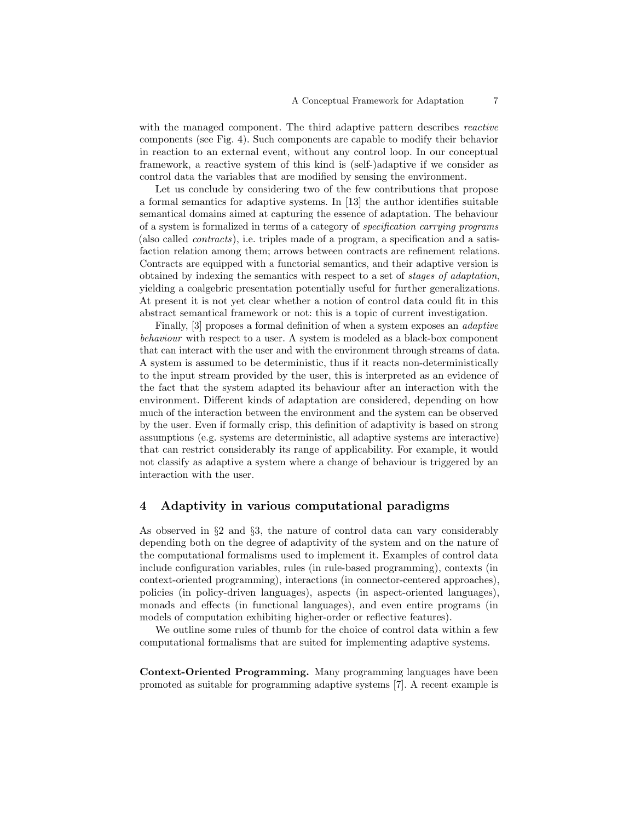with the managed component. The third adaptive pattern describes *reactive* components (see Fig. 4). Such components are capable to modify their behavior in reaction to an external event, without any control loop. In our conceptual framework, a reactive system of this kind is (self-)adaptive if we consider as control data the variables that are modified by sensing the environment.

Let us conclude by considering two of the few contributions that propose a formal semantics for adaptive systems. In [13] the author identifies suitable semantical domains aimed at capturing the essence of adaptation. The behaviour of a system is formalized in terms of a category of specification carrying programs (also called contracts), i.e. triples made of a program, a specification and a satisfaction relation among them; arrows between contracts are refinement relations. Contracts are equipped with a functorial semantics, and their adaptive version is obtained by indexing the semantics with respect to a set of stages of adaptation, yielding a coalgebric presentation potentially useful for further generalizations. At present it is not yet clear whether a notion of control data could fit in this abstract semantical framework or not: this is a topic of current investigation.

Finally, [3] proposes a formal definition of when a system exposes an adaptive behaviour with respect to a user. A system is modeled as a black-box component that can interact with the user and with the environment through streams of data. A system is assumed to be deterministic, thus if it reacts non-deterministically to the input stream provided by the user, this is interpreted as an evidence of the fact that the system adapted its behaviour after an interaction with the environment. Different kinds of adaptation are considered, depending on how much of the interaction between the environment and the system can be observed by the user. Even if formally crisp, this definition of adaptivity is based on strong assumptions (e.g. systems are deterministic, all adaptive systems are interactive) that can restrict considerably its range of applicability. For example, it would not classify as adaptive a system where a change of behaviour is triggered by an interaction with the user.

#### 4 Adaptivity in various computational paradigms

As observed in §2 and §3, the nature of control data can vary considerably depending both on the degree of adaptivity of the system and on the nature of the computational formalisms used to implement it. Examples of control data include configuration variables, rules (in rule-based programming), contexts (in context-oriented programming), interactions (in connector-centered approaches), policies (in policy-driven languages), aspects (in aspect-oriented languages), monads and effects (in functional languages), and even entire programs (in models of computation exhibiting higher-order or reflective features).

We outline some rules of thumb for the choice of control data within a few computational formalisms that are suited for implementing adaptive systems.

Context-Oriented Programming. Many programming languages have been promoted as suitable for programming adaptive systems [7]. A recent example is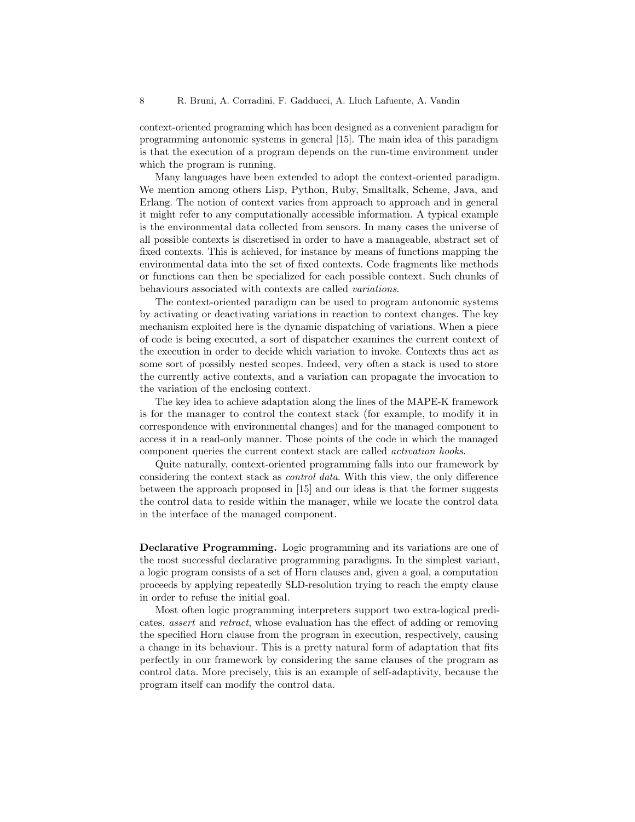context-oriented programing which has been designed as a convenient paradigm for programming autonomic systems in general [15]. The main idea of this paradigm is that the execution of a program depends on the run-time environment under which the program is running.

Many languages have been extended to adopt the context-oriented paradigm. We mention among others Lisp, Python, Ruby, Smalltalk, Scheme, Java, and Erlang. The notion of context varies from approach to approach and in general it might refer to any computationally accessible information. A typical example is the environmental data collected from sensors. In many cases the universe of all possible contexts is discretised in order to have a manageable, abstract set of fixed contexts. This is achieved, for instance by means of functions mapping the environmental data into the set of fixed contexts. Code fragments like methods or functions can then be specialized for each possible context. Such chunks of behaviours associated with contexts are called variations.

The context-oriented paradigm can be used to program autonomic systems by activating or deactivating variations in reaction to context changes. The key mechanism exploited here is the dynamic dispatching of variations. When a piece of code is being executed, a sort of dispatcher examines the current context of the execution in order to decide which variation to invoke. Contexts thus act as some sort of possibly nested scopes. Indeed, very often a stack is used to store the currently active contexts, and a variation can propagate the invocation to the variation of the enclosing context.

The key idea to achieve adaptation along the lines of the MAPE-K framework is for the manager to control the context stack (for example, to modify it in correspondence with environmental changes) and for the managed component to access it in a read-only manner. Those points of the code in which the managed component queries the current context stack are called activation hooks.

Quite naturally, context-oriented programming falls into our framework by considering the context stack as control data. With this view, the only difference between the approach proposed in [15] and our ideas is that the former suggests the control data to reside within the manager, while we locate the control data in the interface of the managed component.

Declarative Programming. Logic programming and its variations are one of the most successful declarative programming paradigms. In the simplest variant, a logic program consists of a set of Horn clauses and, given a goal, a computation proceeds by applying repeatedly SLD-resolution trying to reach the empty clause in order to refuse the initial goal.

Most often logic programming interpreters support two extra-logical predicates, assert and retract, whose evaluation has the effect of adding or removing the specified Horn clause from the program in execution, respectively, causing a change in its behaviour. This is a pretty natural form of adaptation that fits perfectly in our framework by considering the same clauses of the program as control data. More precisely, this is an example of self-adaptivity, because the program itself can modify the control data.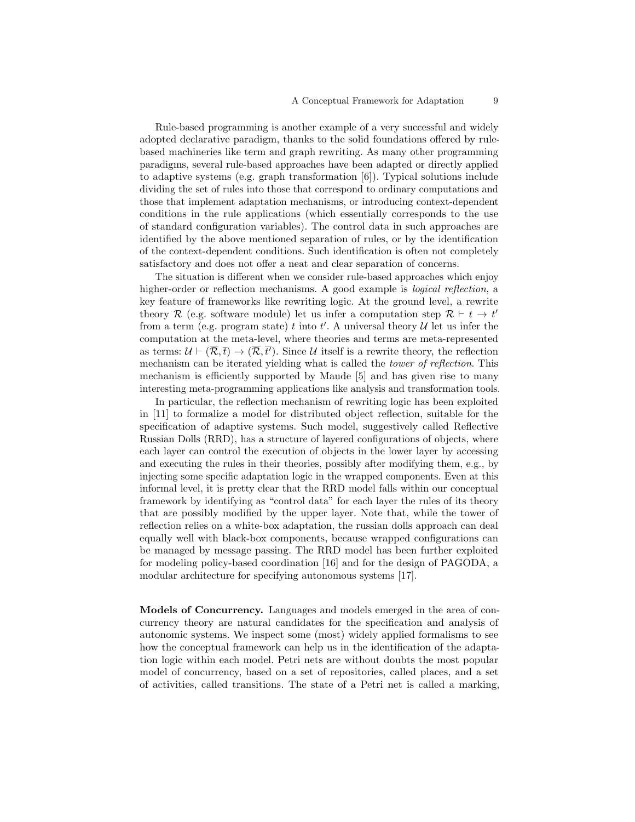Rule-based programming is another example of a very successful and widely adopted declarative paradigm, thanks to the solid foundations offered by rulebased machineries like term and graph rewriting. As many other programming paradigms, several rule-based approaches have been adapted or directly applied to adaptive systems (e.g. graph transformation [6]). Typical solutions include dividing the set of rules into those that correspond to ordinary computations and those that implement adaptation mechanisms, or introducing context-dependent conditions in the rule applications (which essentially corresponds to the use of standard configuration variables). The control data in such approaches are identified by the above mentioned separation of rules, or by the identification of the context-dependent conditions. Such identification is often not completely satisfactory and does not offer a neat and clear separation of concerns.

The situation is different when we consider rule-based approaches which enjoy higher-order or reflection mechanisms. A good example is *logical reflection*, a key feature of frameworks like rewriting logic. At the ground level, a rewrite theory R (e.g. software module) let us infer a computation step  $\mathcal{R} \vdash t \rightarrow t'$ from a term (e.g. program state) t into t'. A universal theory  $\mathcal U$  let us infer the computation at the meta-level, where theories and terms are meta-represented as terms:  $\mathcal{U} \vdash (\overline{\mathcal{R}}, \overline{t}) \rightarrow (\overline{\mathcal{R}}, \overline{t'})$ . Since U itself is a rewrite theory, the reflection mechanism can be iterated yielding what is called the *tower of reflection*. This mechanism is efficiently supported by Maude [5] and has given rise to many interesting meta-programming applications like analysis and transformation tools.

In particular, the reflection mechanism of rewriting logic has been exploited in [11] to formalize a model for distributed object reflection, suitable for the specification of adaptive systems. Such model, suggestively called Reflective Russian Dolls (RRD), has a structure of layered configurations of objects, where each layer can control the execution of objects in the lower layer by accessing and executing the rules in their theories, possibly after modifying them, e.g., by injecting some specific adaptation logic in the wrapped components. Even at this informal level, it is pretty clear that the RRD model falls within our conceptual framework by identifying as "control data" for each layer the rules of its theory that are possibly modified by the upper layer. Note that, while the tower of reflection relies on a white-box adaptation, the russian dolls approach can deal equally well with black-box components, because wrapped configurations can be managed by message passing. The RRD model has been further exploited for modeling policy-based coordination [16] and for the design of PAGODA, a modular architecture for specifying autonomous systems [17].

Models of Concurrency. Languages and models emerged in the area of concurrency theory are natural candidates for the specification and analysis of autonomic systems. We inspect some (most) widely applied formalisms to see how the conceptual framework can help us in the identification of the adaptation logic within each model. Petri nets are without doubts the most popular model of concurrency, based on a set of repositories, called places, and a set of activities, called transitions. The state of a Petri net is called a marking,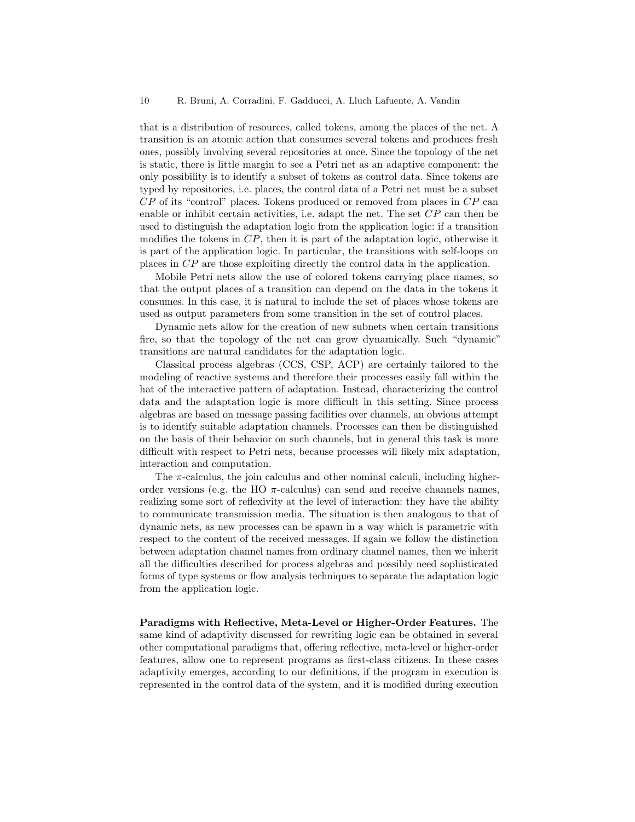that is a distribution of resources, called tokens, among the places of the net. A transition is an atomic action that consumes several tokens and produces fresh ones, possibly involving several repositories at once. Since the topology of the net is static, there is little margin to see a Petri net as an adaptive component: the only possibility is to identify a subset of tokens as control data. Since tokens are typed by repositories, i.e. places, the control data of a Petri net must be a subset  $CP$  of its "control" places. Tokens produced or removed from places in  $CP$  can enable or inhibit certain activities, i.e. adapt the net. The set CP can then be used to distinguish the adaptation logic from the application logic: if a transition modifies the tokens in CP, then it is part of the adaptation logic, otherwise it is part of the application logic. In particular, the transitions with self-loops on places in CP are those exploiting directly the control data in the application.

Mobile Petri nets allow the use of colored tokens carrying place names, so that the output places of a transition can depend on the data in the tokens it consumes. In this case, it is natural to include the set of places whose tokens are used as output parameters from some transition in the set of control places.

Dynamic nets allow for the creation of new subnets when certain transitions fire, so that the topology of the net can grow dynamically. Such "dynamic" transitions are natural candidates for the adaptation logic.

Classical process algebras (CCS, CSP, ACP) are certainly tailored to the modeling of reactive systems and therefore their processes easily fall within the hat of the interactive pattern of adaptation. Instead, characterizing the control data and the adaptation logic is more difficult in this setting. Since process algebras are based on message passing facilities over channels, an obvious attempt is to identify suitable adaptation channels. Processes can then be distinguished on the basis of their behavior on such channels, but in general this task is more difficult with respect to Petri nets, because processes will likely mix adaptation, interaction and computation.

The  $\pi$ -calculus, the join calculus and other nominal calculi, including higherorder versions (e.g. the HO  $\pi$ -calculus) can send and receive channels names, realizing some sort of reflexivity at the level of interaction: they have the ability to communicate transmission media. The situation is then analogous to that of dynamic nets, as new processes can be spawn in a way which is parametric with respect to the content of the received messages. If again we follow the distinction between adaptation channel names from ordinary channel names, then we inherit all the difficulties described for process algebras and possibly need sophisticated forms of type systems or flow analysis techniques to separate the adaptation logic from the application logic.

Paradigms with Reflective, Meta-Level or Higher-Order Features. The same kind of adaptivity discussed for rewriting logic can be obtained in several other computational paradigms that, offering reflective, meta-level or higher-order features, allow one to represent programs as first-class citizens. In these cases adaptivity emerges, according to our definitions, if the program in execution is represented in the control data of the system, and it is modified during execution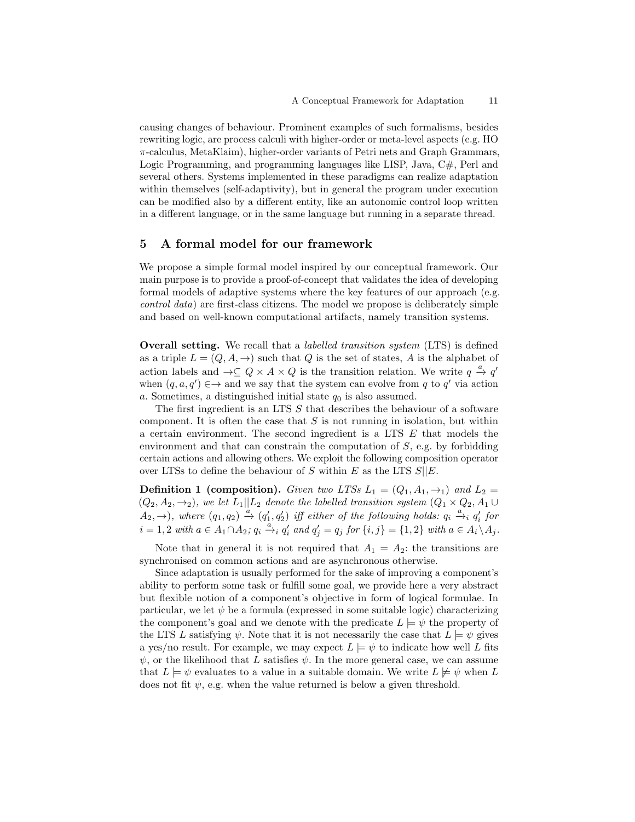causing changes of behaviour. Prominent examples of such formalisms, besides rewriting logic, are process calculi with higher-order or meta-level aspects (e.g. HO  $\pi$ -calculus, MetaKlaim), higher-order variants of Petri nets and Graph Grammars, Logic Programming, and programming languages like LISP, Java, C#, Perl and several others. Systems implemented in these paradigms can realize adaptation within themselves (self-adaptivity), but in general the program under execution can be modified also by a different entity, like an autonomic control loop written in a different language, or in the same language but running in a separate thread.

### 5 A formal model for our framework

We propose a simple formal model inspired by our conceptual framework. Our main purpose is to provide a proof-of-concept that validates the idea of developing formal models of adaptive systems where the key features of our approach (e.g. control data) are first-class citizens. The model we propose is deliberately simple and based on well-known computational artifacts, namely transition systems.

Overall setting. We recall that a labelled transition system (LTS) is defined as a triple  $L = (Q, A, \rightarrow)$  such that Q is the set of states, A is the alphabet of action labels and  $\rightarrow \subseteq Q \times A \times Q$  is the transition relation. We write  $q \stackrel{a}{\rightarrow} q'$ when  $(q, a, q') \in \rightarrow$  and we say that the system can evolve from q to q' via action a. Sometimes, a distinguished initial state  $q_0$  is also assumed.

The first ingredient is an LTS S that describes the behaviour of a software component. It is often the case that  $S$  is not running in isolation, but within a certain environment. The second ingredient is a LTS E that models the environment and that can constrain the computation of  $S$ , e.g. by forbidding certain actions and allowing others. We exploit the following composition operator over LTSs to define the behaviour of S within E as the LTS  $S||E$ .

**Definition 1 (composition).** Given two LTSs  $L_1 = (Q_1, A_1, \rightarrow_1)$  and  $L_2 =$  $(Q_2, A_2, \rightarrow_2)$ , we let  $L_1||L_2$  denote the labelled transition system  $(Q_1 \times Q_2, A_1 \cup$  $(A_2,\rightarrow),$  where  $(q_1,q_2) \stackrel{a}{\rightarrow} (q'_1,q'_2)$  iff either of the following holds:  $q_i \stackrel{a}{\rightarrow}_i q'_i$  for  $i = 1, 2$  with  $a \in A_1 \cap A_2$ ;  $q_i \stackrel{a}{\rightarrow}_i q'_i$  and  $q'_j = q_j$  for  $\{i, j\} = \{1, 2\}$  with  $a \in A_i \setminus A_j$ .

Note that in general it is not required that  $A_1 = A_2$ : the transitions are synchronised on common actions and are asynchronous otherwise.

Since adaptation is usually performed for the sake of improving a component's ability to perform some task or fulfill some goal, we provide here a very abstract but flexible notion of a component's objective in form of logical formulae. In particular, we let  $\psi$  be a formula (expressed in some suitable logic) characterizing the component's goal and we denote with the predicate  $L \models \psi$  the property of the LTS L satisfying  $\psi$ . Note that it is not necessarily the case that  $L \models \psi$  gives a yes/no result. For example, we may expect  $L \models \psi$  to indicate how well L fits  $\psi$ , or the likelihood that L satisfies  $\psi$ . In the more general case, we can assume that  $L \models \psi$  evaluates to a value in a suitable domain. We write  $L \not\models \psi$  when L does not fit  $\psi$ , e.g. when the value returned is below a given threshold.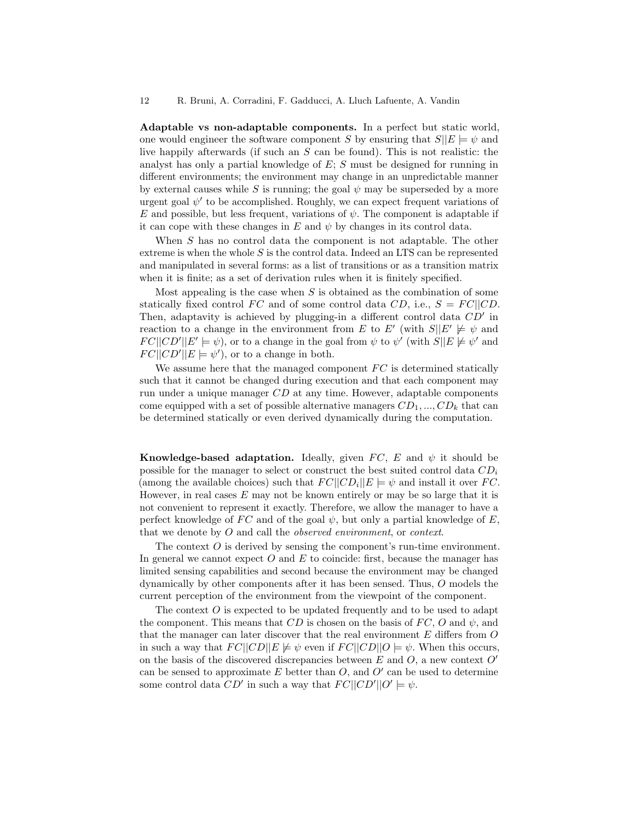Adaptable vs non-adaptable components. In a perfect but static world, one would engineer the software component S by ensuring that  $S||E| \models \psi$  and live happily afterwards (if such an S can be found). This is not realistic: the analyst has only a partial knowledge of E; S must be designed for running in different environments; the environment may change in an unpredictable manner by external causes while S is running; the goal  $\psi$  may be superseded by a more urgent goal  $\psi'$  to be accomplished. Roughly, we can expect frequent variations of E and possible, but less frequent, variations of  $\psi$ . The component is adaptable if it can cope with these changes in E and  $\psi$  by changes in its control data.

When S has no control data the component is not adaptable. The other extreme is when the whole  $S$  is the control data. Indeed an LTS can be represented and manipulated in several forms: as a list of transitions or as a transition matrix when it is finite; as a set of derivation rules when it is finitely specified.

Most appealing is the case when  $S$  is obtained as the combination of some statically fixed control FC and of some control data CD, i.e.,  $S = FC||CD$ . Then, adaptavity is achieved by plugging-in a different control data  $CD'$  in reaction to a change in the environment from E to E' (with  $S||E' \not\models \psi$  and  $FC||CD'||E' \models \psi$ , or to a change in the goal from  $\psi$  to  $\psi'$  (with  $S||E \not\models \psi'$  and  $FC||CD'||E \models \psi'$ , or to a change in both.

We assume here that the managed component  $FC$  is determined statically such that it cannot be changed during execution and that each component may run under a unique manager CD at any time. However, adaptable components come equipped with a set of possible alternative managers  $CD_1, ..., CD_k$  that can be determined statically or even derived dynamically during the computation.

**Knowledge-based adaptation.** Ideally, given FC, E and  $\psi$  it should be possible for the manager to select or construct the best suited control data  $CD_i$ (among the available choices) such that  $FC||CD_i||E \models \psi$  and install it over FC. However, in real cases  $E$  may not be known entirely or may be so large that it is not convenient to represent it exactly. Therefore, we allow the manager to have a perfect knowledge of FC and of the goal  $\psi$ , but only a partial knowledge of E, that we denote by O and call the observed environment, or context.

The context O is derived by sensing the component's run-time environment. In general we cannot expect  $O$  and  $E$  to coincide: first, because the manager has limited sensing capabilities and second because the environment may be changed dynamically by other components after it has been sensed. Thus, O models the current perception of the environment from the viewpoint of the component.

The context O is expected to be updated frequently and to be used to adapt the component. This means that CD is chosen on the basis of  $FC$ , O and  $\psi$ , and that the manager can later discover that the real environment E differs from O in such a way that  $FC||CD||E \not\models \psi$  even if  $FC||CD||O \models \psi$ . When this occurs, on the basis of the discovered discrepancies between E and O, a new context  $O'$ can be sensed to approximate  $E$  better than  $O$ , and  $O'$  can be used to determine some control data  $CD'$  in such a way that  $FC||CD'||O' \models \psi$ .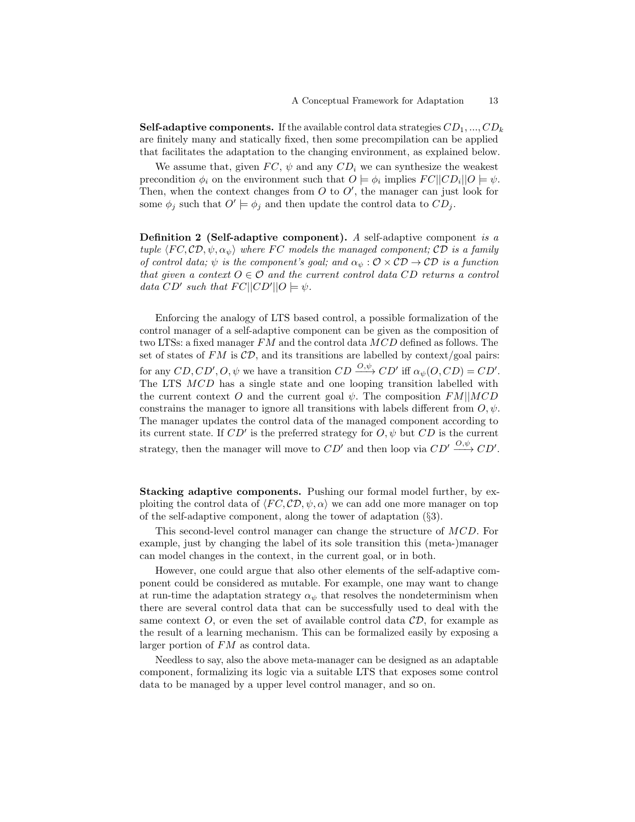**Self-adaptive components.** If the available control data strategies  $CD_1, ..., CD_k$ are finitely many and statically fixed, then some precompilation can be applied that facilitates the adaptation to the changing environment, as explained below.

We assume that, given  $FC$ ,  $\psi$  and any  $CD_i$  we can synthesize the weakest precondition  $\phi_i$  on the environment such that  $O \models \phi_i$  implies  $FC||CD_i||O \models \psi$ . Then, when the context changes from  $O$  to  $O'$ , the manager can just look for some  $\phi_j$  such that  $O' \models \phi_j$  and then update the control data to  $CD_j$ .

Definition 2 (Self-adaptive component). A self-adaptive component is a tuple  $\langle FC, CD, \psi, \alpha_{\psi} \rangle$  where FC models the managed component; CD is a family of control data;  $\psi$  is the component's goal; and  $\alpha_{\psi}: \mathcal{O} \times \mathcal{CD} \to \mathcal{CD}$  is a function that given a context  $O \in \mathcal{O}$  and the current control data CD returns a control data  $CD'$  such that  $FC||CD'||O \models \psi$ .

Enforcing the analogy of LTS based control, a possible formalization of the control manager of a self-adaptive component can be given as the composition of two LTSs: a fixed manager FM and the control data MCD defined as follows. The set of states of  $FM$  is  $CD$ , and its transitions are labelled by context/goal pairs: for any  $CD, CD', O, \psi$  we have a transition  $CD \xrightarrow{O, \psi} CD'$  iff  $\alpha_{\psi}(O, CD) = CD'.$ The LTS MCD has a single state and one looping transition labelled with the current context O and the current goal  $\psi$ . The composition  $FM||MCD$ constrains the manager to ignore all transitions with labels different from  $O, \psi$ . The manager updates the control data of the managed component according to its current state. If  $CD'$  is the preferred strategy for  $O, \psi$  but  $CD$  is the current strategy, then the manager will move to  $CD'$  and then loop via  $CD' \xrightarrow{O,\psi} CD'.$ 

Stacking adaptive components. Pushing our formal model further, by exploiting the control data of  $\langle FC, CD, \psi, \alpha \rangle$  we can add one more manager on top of the self-adaptive component, along the tower of adaptation (§3).

This second-level control manager can change the structure of MCD. For example, just by changing the label of its sole transition this (meta-)manager can model changes in the context, in the current goal, or in both.

However, one could argue that also other elements of the self-adaptive component could be considered as mutable. For example, one may want to change at run-time the adaptation strategy  $\alpha_{\psi}$  that resolves the nondeterminism when there are several control data that can be successfully used to deal with the same context  $O$ , or even the set of available control data  $\mathcal{CD}$ , for example as the result of a learning mechanism. This can be formalized easily by exposing a larger portion of FM as control data.

Needless to say, also the above meta-manager can be designed as an adaptable component, formalizing its logic via a suitable LTS that exposes some control data to be managed by a upper level control manager, and so on.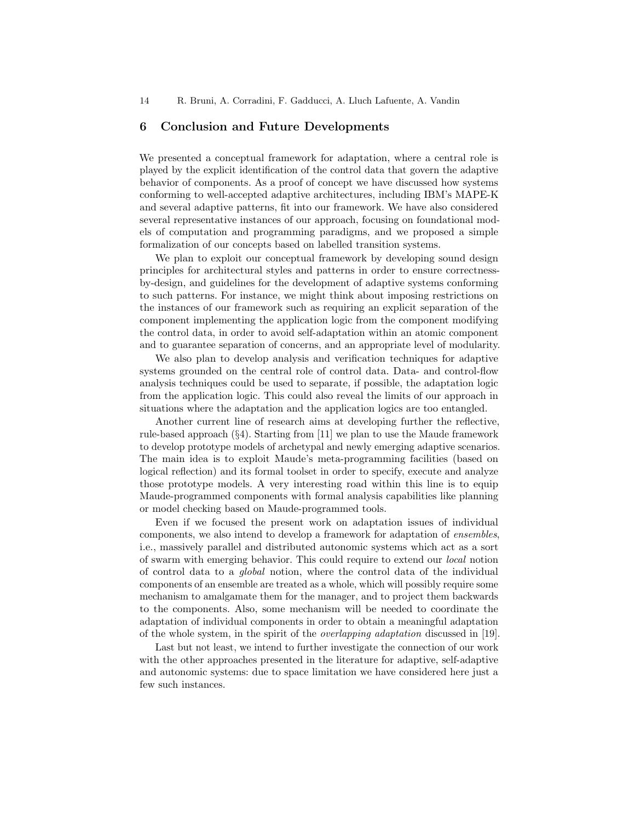### 6 Conclusion and Future Developments

We presented a conceptual framework for adaptation, where a central role is played by the explicit identification of the control data that govern the adaptive behavior of components. As a proof of concept we have discussed how systems conforming to well-accepted adaptive architectures, including IBM's MAPE-K and several adaptive patterns, fit into our framework. We have also considered several representative instances of our approach, focusing on foundational models of computation and programming paradigms, and we proposed a simple formalization of our concepts based on labelled transition systems.

We plan to exploit our conceptual framework by developing sound design principles for architectural styles and patterns in order to ensure correctnessby-design, and guidelines for the development of adaptive systems conforming to such patterns. For instance, we might think about imposing restrictions on the instances of our framework such as requiring an explicit separation of the component implementing the application logic from the component modifying the control data, in order to avoid self-adaptation within an atomic component and to guarantee separation of concerns, and an appropriate level of modularity.

We also plan to develop analysis and verification techniques for adaptive systems grounded on the central role of control data. Data- and control-flow analysis techniques could be used to separate, if possible, the adaptation logic from the application logic. This could also reveal the limits of our approach in situations where the adaptation and the application logics are too entangled.

Another current line of research aims at developing further the reflective, rule-based approach (§4). Starting from [11] we plan to use the Maude framework to develop prototype models of archetypal and newly emerging adaptive scenarios. The main idea is to exploit Maude's meta-programming facilities (based on logical reflection) and its formal toolset in order to specify, execute and analyze those prototype models. A very interesting road within this line is to equip Maude-programmed components with formal analysis capabilities like planning or model checking based on Maude-programmed tools.

Even if we focused the present work on adaptation issues of individual components, we also intend to develop a framework for adaptation of ensembles, i.e., massively parallel and distributed autonomic systems which act as a sort of swarm with emerging behavior. This could require to extend our local notion of control data to a global notion, where the control data of the individual components of an ensemble are treated as a whole, which will possibly require some mechanism to amalgamate them for the manager, and to project them backwards to the components. Also, some mechanism will be needed to coordinate the adaptation of individual components in order to obtain a meaningful adaptation of the whole system, in the spirit of the overlapping adaptation discussed in [19].

Last but not least, we intend to further investigate the connection of our work with the other approaches presented in the literature for adaptive, self-adaptive and autonomic systems: due to space limitation we have considered here just a few such instances.